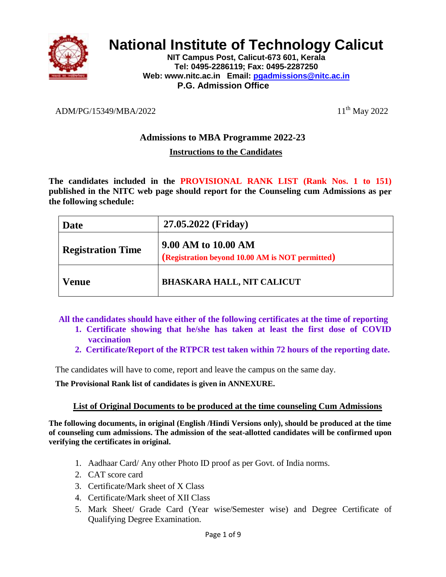

# **National Institute of Technology Calicut**

**NIT Campus Post, Calicut-673 601, Kerala Tel: 0495-2286119; Fax: 0495-2287250 Web: www.nitc.ac.in Email: [pgadmissions@nitc.ac.in](mailto:pgadmissions@nitc.ac.in) P.G. Admission Office**

### ADM/PG/15349/MBA/2022 11<sup>th</sup> May 2022

## **Admissions to MBA Programme 2022-23**

#### **Instructions to the Candidates**

**The candidates included in the PROVISIONAL RANK LIST (Rank Nos. 1 to 151) published in the NITC web page should report for the Counseling cum Admissions as per the following schedule:**

| Date                     | 27.05.2022 (Friday)                                                    |
|--------------------------|------------------------------------------------------------------------|
| <b>Registration Time</b> | 9.00 AM to 10.00 AM<br>(Registration beyond 10.00 AM is NOT permitted) |
| Venue                    | <b>BHASKARA HALL, NIT CALICUT</b>                                      |

**All the candidates should have either of the following certificates at the time of reporting** 

- **1. Certificate showing that he/she has taken at least the first dose of COVID vaccination**
- **2. Certificate/Report of the RTPCR test taken within 72 hours of the reporting date.**

The candidates will have to come, report and leave the campus on the same day.

**The Provisional Rank list of candidates is given in ANNEXURE.**

#### **List of Original Documents to be produced at the time counseling Cum Admissions**

**The following documents, in original (English /Hindi Versions only), should be produced at the time of counseling cum admissions. The admission of the seat-allotted candidates will be confirmed upon verifying the certificates in original.**

- 1. Aadhaar Card/ Any other Photo ID proof as per Govt. of India norms.
- 2. CAT score card
- 3. Certificate/Mark sheet of X Class
- 4. Certificate/Mark sheet of XII Class
- 5. Mark Sheet/ Grade Card (Year wise/Semester wise) and Degree Certificate of Qualifying Degree Examination.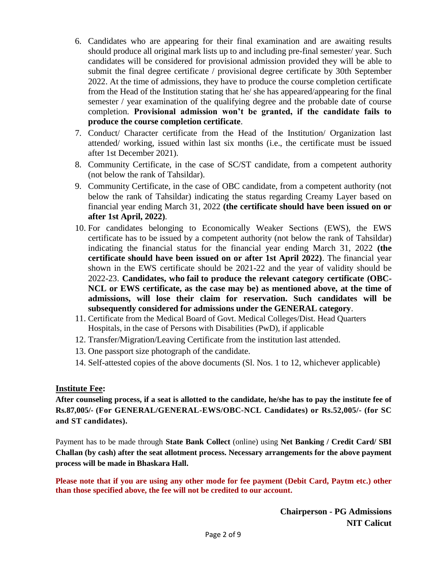- 6. Candidates who are appearing for their final examination and are awaiting results should produce all original mark lists up to and including pre-final semester/ year. Such candidates will be considered for provisional admission provided they will be able to submit the final degree certificate / provisional degree certificate by 30th September 2022. At the time of admissions, they have to produce the course completion certificate from the Head of the Institution stating that he/ she has appeared/appearing for the final semester / year examination of the qualifying degree and the probable date of course completion. **Provisional admission won't be granted, if the candidate fails to produce the course completion certificate**.
- 7. Conduct/ Character certificate from the Head of the Institution/ Organization last attended/ working, issued within last six months (i.e., the certificate must be issued after 1st December 2021).
- 8. Community Certificate, in the case of SC/ST candidate, from a competent authority (not below the rank of Tahsildar).
- 9. Community Certificate, in the case of OBC candidate, from a competent authority (not below the rank of Tahsildar) indicating the status regarding Creamy Layer based on financial year ending March 31, 2022 **(the certificate should have been issued on or after 1st April, 2022)**.
- 10. For candidates belonging to Economically Weaker Sections (EWS), the EWS certificate has to be issued by a competent authority (not below the rank of Tahsildar) indicating the financial status for the financial year ending March 31, 2022 **(the certificate should have been issued on or after 1st April 2022)**. The financial year shown in the EWS certificate should be 2021-22 and the year of validity should be 2022-23. **Candidates, who fail to produce the relevant category certificate (OBC-NCL or EWS certificate, as the case may be) as mentioned above, at the time of admissions, will lose their claim for reservation. Such candidates will be subsequently considered for admissions under the GENERAL category**.
- 11. Certificate from the Medical Board of Govt. Medical Colleges/Dist. Head Quarters Hospitals, in the case of Persons with Disabilities (PwD), if applicable
- 12. Transfer/Migration/Leaving Certificate from the institution last attended.
- 13. One passport size photograph of the candidate.
- 14. Self-attested copies of the above documents (Sl. Nos. 1 to 12, whichever applicable)

#### **Institute Fee:**

**After counseling process, if a seat is allotted to the candidate, he/she has to pay the institute fee of Rs.87,005/- (For GENERAL/GENERAL-EWS/OBC-NCL Candidates) or Rs.52,005/- (for SC and ST candidates).** 

Payment has to be made through **State Bank Collect** (online) using **Net Banking / Credit Card/ SBI Challan (by cash) after the seat allotment process. Necessary arrangements for the above payment process will be made in Bhaskara Hall.** 

**Please note that if you are using any other mode for fee payment (Debit Card, Paytm etc.) other than those specified above, the fee will not be credited to our account.**

> **Chairperson - PG Admissions NIT Calicut**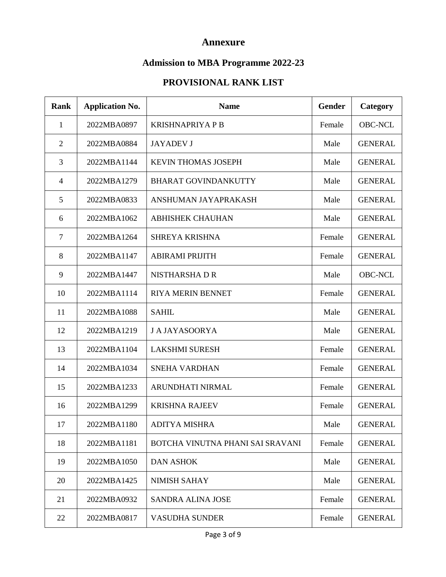## **Annexure**

## **Admission to MBA Programme 2022-23**

# **PROVISIONAL RANK LIST**

| <b>Rank</b>    | <b>Application No.</b> | <b>Name</b>                      | <b>Gender</b> | Category       |
|----------------|------------------------|----------------------------------|---------------|----------------|
| $\mathbf{1}$   | 2022MBA0897            | <b>KRISHNAPRIYA P B</b>          | Female        | <b>OBC-NCL</b> |
| 2              | 2022MBA0884            | <b>JAYADEV J</b>                 | Male          | <b>GENERAL</b> |
| $\overline{3}$ | 2022MBA1144            | <b>KEVIN THOMAS JOSEPH</b>       | Male          | <b>GENERAL</b> |
| $\overline{4}$ | 2022MBA1279            | <b>BHARAT GOVINDANKUTTY</b>      | Male          | <b>GENERAL</b> |
| 5              | 2022MBA0833            | ANSHUMAN JAYAPRAKASH             | Male          | <b>GENERAL</b> |
| 6              | 2022MBA1062            | <b>ABHISHEK CHAUHAN</b>          | Male          | <b>GENERAL</b> |
| $\overline{7}$ | 2022MBA1264            | <b>SHREYA KRISHNA</b>            | Female        | <b>GENERAL</b> |
| 8              | 2022MBA1147            | <b>ABIRAMI PRIJITH</b>           | Female        | <b>GENERAL</b> |
| 9              | 2022MBA1447            | <b>NISTHARSHADR</b>              | Male          | <b>OBC-NCL</b> |
| 10             | 2022MBA1114            | <b>RIYA MERIN BENNET</b>         | Female        | <b>GENERAL</b> |
| 11             | 2022MBA1088            | <b>SAHIL</b>                     | Male          | <b>GENERAL</b> |
| 12             | 2022MBA1219            | <b>J A JAYASOORYA</b>            | Male          | <b>GENERAL</b> |
| 13             | 2022MBA1104            | <b>LAKSHMI SURESH</b>            | Female        | <b>GENERAL</b> |
| 14             | 2022MBA1034            | <b>SNEHA VARDHAN</b>             | Female        | <b>GENERAL</b> |
| 15             | 2022MBA1233            | ARUNDHATI NIRMAL                 | Female        | <b>GENERAL</b> |
| 16             | 2022MBA1299            | <b>KRISHNA RAJEEV</b>            | Female        | <b>GENERAL</b> |
| 17             | 2022MBA1180            | <b>ADITYA MISHRA</b>             | Male          | <b>GENERAL</b> |
| 18             | 2022MBA1181            | BOTCHA VINUTNA PHANI SAI SRAVANI | Female        | <b>GENERAL</b> |
| 19             | 2022MBA1050            | <b>DAN ASHOK</b>                 | Male          | <b>GENERAL</b> |
| 20             | 2022MBA1425            | <b>NIMISH SAHAY</b>              | Male          | <b>GENERAL</b> |
| 21             | 2022MBA0932            | <b>SANDRA ALINA JOSE</b>         | Female        | <b>GENERAL</b> |
| 22             | 2022MBA0817            | <b>VASUDHA SUNDER</b>            | Female        | <b>GENERAL</b> |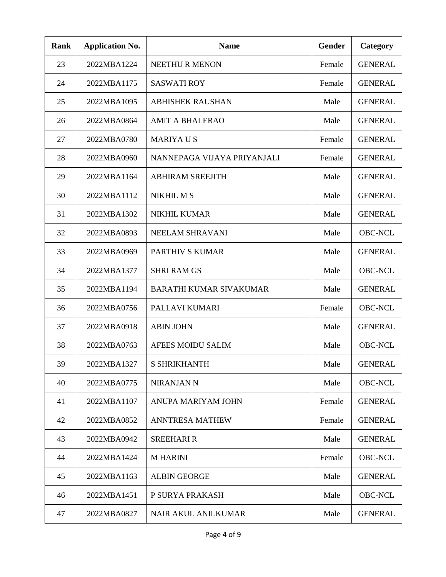| <b>Rank</b> | <b>Application No.</b> | <b>Name</b>                    | Gender | Category       |
|-------------|------------------------|--------------------------------|--------|----------------|
| 23          | 2022MBA1224            | <b>NEETHUR MENON</b>           | Female | <b>GENERAL</b> |
| 24          | 2022MBA1175            | <b>SASWATI ROY</b>             | Female | <b>GENERAL</b> |
| 25          | 2022MBA1095            | <b>ABHISHEK RAUSHAN</b>        | Male   | <b>GENERAL</b> |
| 26          | 2022MBA0864            | <b>AMIT A BHALERAO</b>         | Male   | <b>GENERAL</b> |
| 27          | 2022MBA0780            | <b>MARIYAUS</b>                | Female | <b>GENERAL</b> |
| 28          | 2022MBA0960            | NANNEPAGA VIJAYA PRIYANJALI    | Female | <b>GENERAL</b> |
| 29          | 2022MBA1164            | <b>ABHIRAM SREEJITH</b>        | Male   | <b>GENERAL</b> |
| 30          | 2022MBA1112            | <b>NIKHIL M S</b>              | Male   | <b>GENERAL</b> |
| 31          | 2022MBA1302            | <b>NIKHIL KUMAR</b>            | Male   | <b>GENERAL</b> |
| 32          | 2022MBA0893            | NEELAM SHRAVANI                | Male   | <b>OBC-NCL</b> |
| 33          | 2022MBA0969            | PARTHIV S KUMAR                | Male   | <b>GENERAL</b> |
| 34          | 2022MBA1377            | <b>SHRI RAM GS</b>             | Male   | <b>OBC-NCL</b> |
| 35          | 2022MBA1194            | <b>BARATHI KUMAR SIVAKUMAR</b> | Male   | <b>GENERAL</b> |
| 36          | 2022MBA0756            | PALLAVI KUMARI                 | Female | <b>OBC-NCL</b> |
| 37          | 2022MBA0918            | <b>ABIN JOHN</b>               | Male   | <b>GENERAL</b> |
| 38          | 2022MBA0763            | <b>AFEES MOIDU SALIM</b>       | Male   | <b>OBC-NCL</b> |
| 39          | 2022MBA1327            | <b>S SHRIKHANTH</b>            | Male   | <b>GENERAL</b> |
| 40          | 2022MBA0775            | <b>NIRANJAN N</b>              | Male   | <b>OBC-NCL</b> |
| 41          | 2022MBA1107            | ANUPA MARIYAM JOHN             | Female | <b>GENERAL</b> |
| 42          | 2022MBA0852            | <b>ANNTRESA MATHEW</b>         | Female | <b>GENERAL</b> |
| 43          | 2022MBA0942            | <b>SREEHARI R</b>              | Male   | <b>GENERAL</b> |
| 44          | 2022MBA1424            | <b>MHARINI</b>                 | Female | <b>OBC-NCL</b> |
| 45          | 2022MBA1163            | <b>ALBIN GEORGE</b>            | Male   | <b>GENERAL</b> |
| 46          | 2022MBA1451            | P SURYA PRAKASH                | Male   | <b>OBC-NCL</b> |
| 47          | 2022MBA0827            | NAIR AKUL ANILKUMAR            | Male   | <b>GENERAL</b> |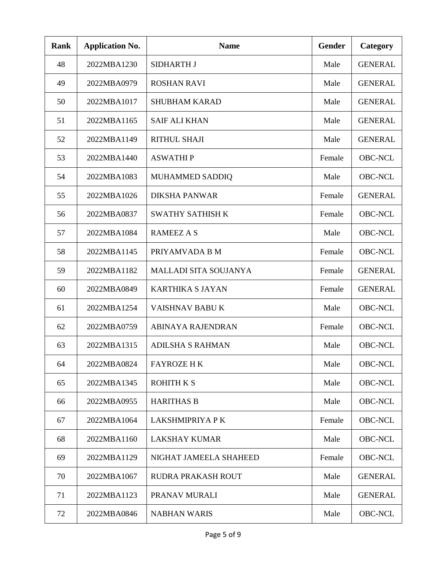| <b>Rank</b> | <b>Application No.</b> | <b>Name</b>                  | <b>Gender</b> | Category       |
|-------------|------------------------|------------------------------|---------------|----------------|
| 48          | 2022MBA1230            | <b>SIDHARTH J</b>            | Male          | <b>GENERAL</b> |
| 49          | 2022MBA0979            | <b>ROSHAN RAVI</b>           | Male          | <b>GENERAL</b> |
| 50          | 2022MBA1017            | <b>SHUBHAM KARAD</b>         | Male          | <b>GENERAL</b> |
| 51          | 2022MBA1165            | <b>SAIF ALI KHAN</b>         | Male          | <b>GENERAL</b> |
| 52          | 2022MBA1149            | <b>RITHUL SHAJI</b>          | Male          | <b>GENERAL</b> |
| 53          | 2022MBA1440            | <b>ASWATHIP</b>              | Female        | <b>OBC-NCL</b> |
| 54          | 2022MBA1083            | MUHAMMED SADDIQ              | Male          | <b>OBC-NCL</b> |
| 55          | 2022MBA1026            | <b>DIKSHA PANWAR</b>         | Female        | <b>GENERAL</b> |
| 56          | 2022MBA0837            | <b>SWATHY SATHISH K</b>      | Female        | <b>OBC-NCL</b> |
| 57          | 2022MBA1084            | <b>RAMEEZ A S</b>            | Male          | <b>OBC-NCL</b> |
| 58          | 2022MBA1145            | PRIYAMVADA B M               | Female        | <b>OBC-NCL</b> |
| 59          | 2022MBA1182            | <b>MALLADI SITA SOUJANYA</b> | Female        | <b>GENERAL</b> |
| 60          | 2022MBA0849            | <b>KARTHIKA S JAYAN</b>      | Female        | <b>GENERAL</b> |
| 61          | 2022MBA1254            | <b>VAISHNAV BABU K</b>       | Male          | <b>OBC-NCL</b> |
| 62          | 2022MBA0759            | <b>ABINAYA RAJENDRAN</b>     | Female        | <b>OBC-NCL</b> |
| 63          | 2022MBA1315            | <b>ADILSHA S RAHMAN</b>      | Male          | <b>OBC-NCL</b> |
| 64          | 2022MBA0824            | <b>FAYROZE H K</b>           | Male          | <b>OBC-NCL</b> |
| 65          | 2022MBA1345            | <b>ROHITH K S</b>            | Male          | <b>OBC-NCL</b> |
| 66          | 2022MBA0955            | <b>HARITHAS B</b>            | Male          | <b>OBC-NCL</b> |
| 67          | 2022MBA1064            | LAKSHMIPRIYA P K             | Female        | <b>OBC-NCL</b> |
| 68          | 2022MBA1160            | <b>LAKSHAY KUMAR</b>         | Male          | <b>OBC-NCL</b> |
| 69          | 2022MBA1129            | NIGHAT JAMEELA SHAHEED       | Female        | <b>OBC-NCL</b> |
| 70          | 2022MBA1067            | RUDRA PRAKASH ROUT           | Male          | <b>GENERAL</b> |
| 71          | 2022MBA1123            | PRANAV MURALI                | Male          | <b>GENERAL</b> |
| 72          | 2022MBA0846            | <b>NABHAN WARIS</b>          | Male          | <b>OBC-NCL</b> |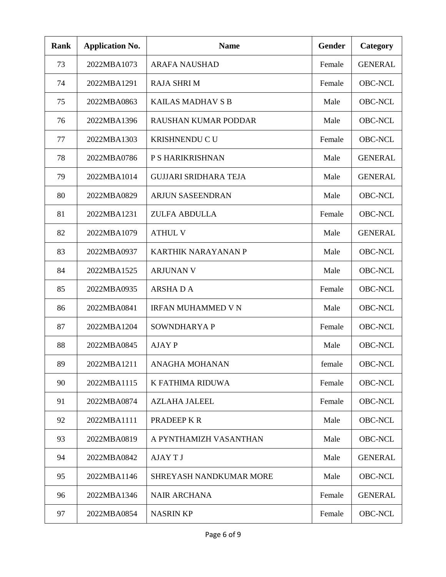| <b>Rank</b> | <b>Application No.</b> | <b>Name</b>                  | <b>Gender</b> | Category       |
|-------------|------------------------|------------------------------|---------------|----------------|
| 73          | 2022MBA1073            | <b>ARAFA NAUSHAD</b>         | Female        | <b>GENERAL</b> |
| 74          | 2022MBA1291            | <b>RAJA SHRIM</b>            | Female        | <b>OBC-NCL</b> |
| 75          | 2022MBA0863            | KAILAS MADHAV S B            | Male          | <b>OBC-NCL</b> |
| 76          | 2022MBA1396            | <b>RAUSHAN KUMAR PODDAR</b>  | Male          | <b>OBC-NCL</b> |
| 77          | 2022MBA1303            | KRISHNENDU C U               | Female        | <b>OBC-NCL</b> |
| 78          | 2022MBA0786            | P S HARIKRISHNAN             | Male          | <b>GENERAL</b> |
| 79          | 2022MBA1014            | <b>GUJJARI SRIDHARA TEJA</b> | Male          | <b>GENERAL</b> |
| 80          | 2022MBA0829            | <b>ARJUN SASEENDRAN</b>      | Male          | <b>OBC-NCL</b> |
| 81          | 2022MBA1231            | <b>ZULFA ABDULLA</b>         | Female        | <b>OBC-NCL</b> |
| 82          | 2022MBA1079            | <b>ATHUL V</b>               | Male          | <b>GENERAL</b> |
| 83          | 2022MBA0937            | <b>KARTHIK NARAYANAN P</b>   | Male          | <b>OBC-NCL</b> |
| 84          | 2022MBA1525            | <b>ARJUNAN V</b>             | Male          | <b>OBC-NCL</b> |
| 85          | 2022MBA0935            | <b>ARSHADA</b>               | Female        | <b>OBC-NCL</b> |
| 86          | 2022MBA0841            | <b>IRFAN MUHAMMED V N</b>    | Male          | <b>OBC-NCL</b> |
| 87          | 2022MBA1204            | SOWNDHARYA P                 | Female        | <b>OBC-NCL</b> |
| 88          | 2022MBA0845            | <b>AJAY P</b>                | Male          | <b>OBC-NCL</b> |
| 89          | 2022MBA1211            | ANAGHA MOHANAN               | female        | <b>OBC-NCL</b> |
| 90          | 2022MBA1115            | K FATHIMA RIDUWA             | Female        | <b>OBC-NCL</b> |
| 91          | 2022MBA0874            | <b>AZLAHA JALEEL</b>         | Female        | <b>OBC-NCL</b> |
| 92          | 2022MBA1111            | PRADEEP K R                  | Male          | <b>OBC-NCL</b> |
| 93          | 2022MBA0819            | A PYNTHAMIZH VASANTHAN       | Male          | <b>OBC-NCL</b> |
| 94          | 2022MBA0842            | <b>AJAYTJ</b>                | Male          | <b>GENERAL</b> |
| 95          | 2022MBA1146            | SHREYASH NANDKUMAR MORE      | Male          | <b>OBC-NCL</b> |
| 96          | 2022MBA1346            | <b>NAIR ARCHANA</b>          | Female        | <b>GENERAL</b> |
| 97          | 2022MBA0854            | <b>NASRIN KP</b>             | Female        | <b>OBC-NCL</b> |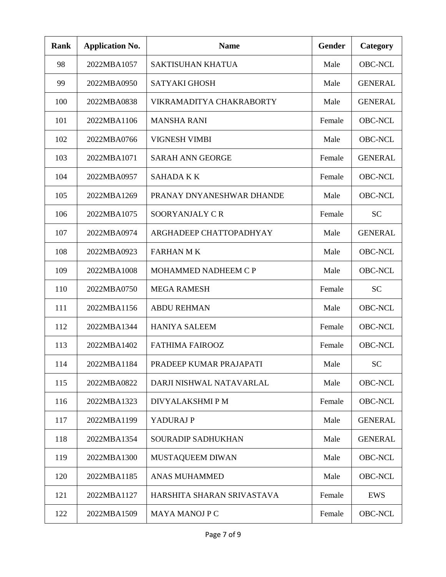| <b>Rank</b> | <b>Application No.</b> | <b>Name</b>                | Gender | Category       |
|-------------|------------------------|----------------------------|--------|----------------|
| 98          | 2022MBA1057            | <b>SAKTISUHAN KHATUA</b>   | Male   | <b>OBC-NCL</b> |
| 99          | 2022MBA0950            | <b>SATYAKI GHOSH</b>       | Male   | <b>GENERAL</b> |
| 100         | 2022MBA0838            | VIKRAMADITYA CHAKRABORTY   | Male   | <b>GENERAL</b> |
| 101         | 2022MBA1106            | <b>MANSHA RANI</b>         | Female | <b>OBC-NCL</b> |
| 102         | 2022MBA0766            | <b>VIGNESH VIMBI</b>       | Male   | <b>OBC-NCL</b> |
| 103         | 2022MBA1071            | <b>SARAH ANN GEORGE</b>    | Female | <b>GENERAL</b> |
| 104         | 2022MBA0957            | <b>SAHADA K K</b>          | Female | <b>OBC-NCL</b> |
| 105         | 2022MBA1269            | PRANAY DNYANESHWAR DHANDE  | Male   | <b>OBC-NCL</b> |
| 106         | 2022MBA1075            | SOORYANJALY CR             | Female | <b>SC</b>      |
| 107         | 2022MBA0974            | ARGHADEEP CHATTOPADHYAY    | Male   | <b>GENERAL</b> |
| 108         | 2022MBA0923            | <b>FARHAN MK</b>           | Male   | <b>OBC-NCL</b> |
| 109         | 2022MBA1008            | MOHAMMED NADHEEM C P       | Male   | <b>OBC-NCL</b> |
| 110         | 2022MBA0750            | <b>MEGA RAMESH</b>         | Female | <b>SC</b>      |
| 111         | 2022MBA1156            | <b>ABDU REHMAN</b>         | Male   | <b>OBC-NCL</b> |
| 112         | 2022MBA1344            | <b>HANIYA SALEEM</b>       | Female | <b>OBC-NCL</b> |
| 113         | 2022MBA1402            | <b>FATHIMA FAIROOZ</b>     | Female | <b>OBC-NCL</b> |
| 114         | 2022MBA1184            | PRADEEP KUMAR PRAJAPATI    | Male   | <b>SC</b>      |
| 115         | 2022MBA0822            | DARJI NISHWAL NATAVARLAL   | Male   | <b>OBC-NCL</b> |
| 116         | 2022MBA1323            | DIVYALAKSHMIPM             | Female | <b>OBC-NCL</b> |
| 117         | 2022MBA1199            | YADURAJ P                  | Male   | <b>GENERAL</b> |
| 118         | 2022MBA1354            | SOURADIP SADHUKHAN         | Male   | <b>GENERAL</b> |
| 119         | 2022MBA1300            | MUSTAQUEEM DIWAN           | Male   | <b>OBC-NCL</b> |
| 120         | 2022MBA1185            | <b>ANAS MUHAMMED</b>       | Male   | <b>OBC-NCL</b> |
| 121         | 2022MBA1127            | HARSHITA SHARAN SRIVASTAVA | Female | EWS            |
| 122         | 2022MBA1509            | <b>MAYA MANOJ P C</b>      | Female | <b>OBC-NCL</b> |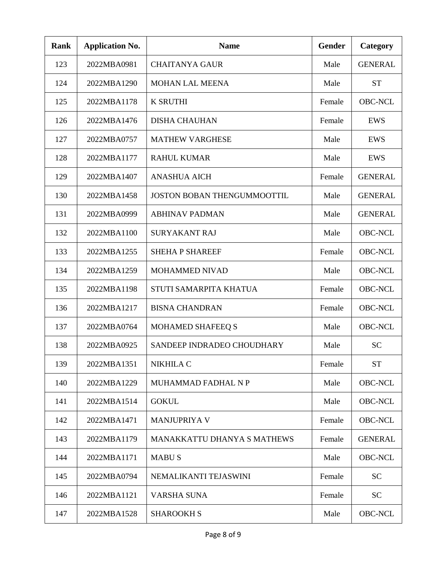| <b>Rank</b> | <b>Application No.</b> | <b>Name</b>                        | <b>Gender</b> | Category       |
|-------------|------------------------|------------------------------------|---------------|----------------|
| 123         | 2022MBA0981            | <b>CHAITANYA GAUR</b>              | Male          | <b>GENERAL</b> |
| 124         | 2022MBA1290            | <b>MOHAN LAL MEENA</b>             | Male          | <b>ST</b>      |
| 125         | 2022MBA1178            | <b>K SRUTHI</b>                    | Female        | <b>OBC-NCL</b> |
| 126         | 2022MBA1476            | <b>DISHA CHAUHAN</b>               | Female        | EWS            |
| 127         | 2022MBA0757            | <b>MATHEW VARGHESE</b>             | Male          | EWS            |
| 128         | 2022MBA1177            | <b>RAHUL KUMAR</b>                 | Male          | EWS            |
| 129         | 2022MBA1407            | <b>ANASHUA AICH</b>                | Female        | <b>GENERAL</b> |
| 130         | 2022MBA1458            | <b>JOSTON BOBAN THENGUMMOOTTIL</b> | Male          | <b>GENERAL</b> |
| 131         | 2022MBA0999            | <b>ABHINAV PADMAN</b>              | Male          | <b>GENERAL</b> |
| 132         | 2022MBA1100            | <b>SURYAKANT RAJ</b>               | Male          | <b>OBC-NCL</b> |
| 133         | 2022MBA1255            | <b>SHEHA P SHAREEF</b>             | Female        | <b>OBC-NCL</b> |
| 134         | 2022MBA1259            | MOHAMMED NIVAD                     | Male          | <b>OBC-NCL</b> |
| 135         | 2022MBA1198            | STUTI SAMARPITA KHATUA             | Female        | <b>OBC-NCL</b> |
| 136         | 2022MBA1217            | <b>BISNA CHANDRAN</b>              | Female        | <b>OBC-NCL</b> |
| 137         | 2022MBA0764            | <b>MOHAMED SHAFEEQ S</b>           | Male          | <b>OBC-NCL</b> |
| 138         | 2022MBA0925            | SANDEEP INDRADEO CHOUDHARY         | Male          | <b>SC</b>      |
| 139         | 2022MBA1351            | NIKHILA C                          | Female        | <b>ST</b>      |
| 140         | 2022MBA1229            | MUHAMMAD FADHAL N P                | Male          | <b>OBC-NCL</b> |
| 141         | 2022MBA1514            | <b>GOKUL</b>                       | Male          | <b>OBC-NCL</b> |
| 142         | 2022MBA1471            | <b>MANJUPRIYA V</b>                | Female        | <b>OBC-NCL</b> |
| 143         | 2022MBA1179            | MANAKKATTU DHANYA S MATHEWS        | Female        | <b>GENERAL</b> |
| 144         | 2022MBA1171            | <b>MABUS</b>                       | Male          | <b>OBC-NCL</b> |
| 145         | 2022MBA0794            | NEMALIKANTI TEJASWINI              | Female        | <b>SC</b>      |
| 146         | 2022MBA1121            | VARSHA SUNA                        | Female        | <b>SC</b>      |
| 147         | 2022MBA1528            | <b>SHAROOKH S</b>                  | Male          | <b>OBC-NCL</b> |